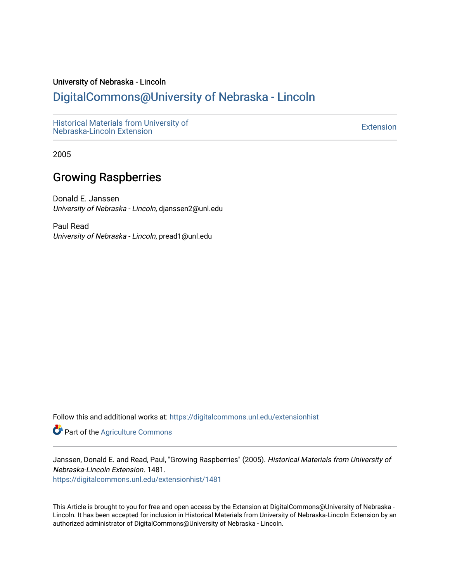#### University of Nebraska - Lincoln

### [DigitalCommons@University of Nebraska - Lincoln](https://digitalcommons.unl.edu/)

[Historical Materials from University of](https://digitalcommons.unl.edu/extensionhist)  nistorical Materials from Oniversity of the control of the control of the [Extension](https://digitalcommons.unl.edu/coop_extension) Extension extension of the<br>Nebraska-Lincoln Extension

2005

#### Growing Raspberries

Donald E. Janssen University of Nebraska - Lincoln, djanssen2@unl.edu

Paul Read University of Nebraska - Lincoln, pread1@unl.edu

Follow this and additional works at: [https://digitalcommons.unl.edu/extensionhist](https://digitalcommons.unl.edu/extensionhist?utm_source=digitalcommons.unl.edu%2Fextensionhist%2F1481&utm_medium=PDF&utm_campaign=PDFCoverPages) 

**Part of the [Agriculture Commons](http://network.bepress.com/hgg/discipline/1076?utm_source=digitalcommons.unl.edu%2Fextensionhist%2F1481&utm_medium=PDF&utm_campaign=PDFCoverPages)** 

Janssen, Donald E. and Read, Paul, "Growing Raspberries" (2005). Historical Materials from University of Nebraska-Lincoln Extension. 1481.

[https://digitalcommons.unl.edu/extensionhist/1481](https://digitalcommons.unl.edu/extensionhist/1481?utm_source=digitalcommons.unl.edu%2Fextensionhist%2F1481&utm_medium=PDF&utm_campaign=PDFCoverPages) 

This Article is brought to you for free and open access by the Extension at DigitalCommons@University of Nebraska - Lincoln. It has been accepted for inclusion in Historical Materials from University of Nebraska-Lincoln Extension by an authorized administrator of DigitalCommons@University of Nebraska - Lincoln.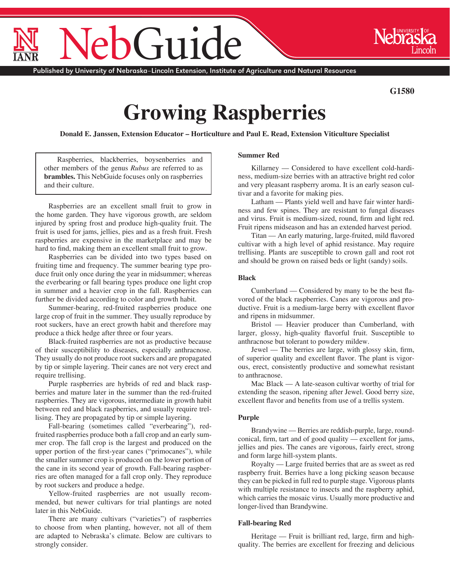# $\dot{ }$  111

Published by University of Nebraska–Lincoln Extension, Institute of Agriculture and Natural Resources

**G1580**

## **Growing Raspberries**

**Donald E. Janssen, Extension Educator – Horticulture and Paul E. Read, Extension Viticulture Specialist**

Raspberries, blackberries, boysenberries and other members of the genus *Rubus* are referred to as **brambles.** This NebGuide focuses only on raspberries and their culture.

Raspberries are an excellent small fruit to grow in the home garden. They have vigorous growth, are seldom injured by spring frost and produce high-quality fruit. The fruit is used for jams, jellies, pies and as a fresh fruit. Fresh raspberries are expensive in the marketplace and may be hard to find, making them an excellent small fruit to grow.

Raspberries can be divided into two types based on fruiting time and frequency. The summer bearing type produce fruit only once during the year in midsummer; whereas the everbearing or fall bearing types produce one light crop in summer and a heavier crop in the fall. Raspberries can further be divided according to color and growth habit.

Summer-bearing, red-fruited raspberries produce one large crop of fruit in the summer. They usually reproduce by root suckers, have an erect growth habit and therefore may produce a thick hedge after three or four years.

Black-fruited raspberries are not as productive because of their susceptibility to diseases, especially anthracnose. They usually do not produce root suckers and are propagated by tip or simple layering. Their canes are not very erect and require trellising.

Purple raspberries are hybrids of red and black raspberries and mature later in the summer than the red-fruited raspberries. They are vigorous, intermediate in growth habit between red and black raspberries, and usually require trellising. They are propagated by tip or simple layering.

Fall-bearing (sometimes called "everbearing"), redfruited raspberries produce both a fall crop and an early summer crop. The fall crop is the largest and produced on the upper portion of the first-year canes ("primocanes"), while the smaller summer crop is produced on the lower portion of the cane in its second year of growth. Fall-bearing raspberries are often managed for a fall crop only. They reproduce by root suckers and produce a hedge.

Yellow-fruited raspberries are not usually recommended, but newer cultivars for trial plantings are noted later in this NebGuide.

There are many cultivars ("varieties") of raspberries to choose from when planting, however, not all of them are adapted to Nebraska's climate. Below are cultivars to strongly consider.

#### **Summer Red**

Killarney — Considered to have excellent cold-hardiness, medium-size berries with an attractive bright red color and very pleasant raspberry aroma. It is an early season cultivar and a favorite for making pies.

Latham — Plants yield well and have fair winter hardiness and few spines. They are resistant to fungal diseases and virus. Fruit is medium-sized, round, firm and light red. Fruit ripens midseason and has an extended harvest period.

Titan — An early maturing, large-fruited, mild flavored cultivar with a high level of aphid resistance. May require trellising. Plants are susceptible to crown gall and root rot and should be grown on raised beds or light (sandy) soils.

#### **Black**

Cumberland — Considered by many to be the best flavored of the black raspberries. Canes are vigorous and productive. Fruit is a medium-large berry with excellent flavor and ripens in midsummer.

Bristol — Heavier producer than Cumberland, with larger, glossy, high-quality flavorful fruit. Susceptible to anthracnose but tolerant to powdery mildew.

Jewel — The berries are large, with glossy skin, firm, of superior quality and excellent flavor. The plant is vigorous, erect, consistently productive and somewhat resistant to anthracnose.

Mac Black — A late-season cultivar worthy of trial for extending the season, ripening after Jewel. Good berry size, excellent flavor and benefits from use of a trellis system.

#### **Purple**

Brandywine — Berries are reddish-purple, large, roundconical, firm, tart and of good quality — excellent for jams, jellies and pies. The canes are vigorous, fairly erect, strong and form large hill-system plants.

Royalty — Large fruited berries that are as sweet as red raspberry fruit. Berries have a long picking season because they can be picked in full red to purple stage. Vigorous plants with multiple resistance to insects and the raspberry aphid, which carries the mosaic virus. Usually more productive and longer-lived than Brandywine.

#### **Fall-bearing Red**

Heritage — Fruit is brilliant red, large, firm and highquality. The berries are excellent for freezing and delicious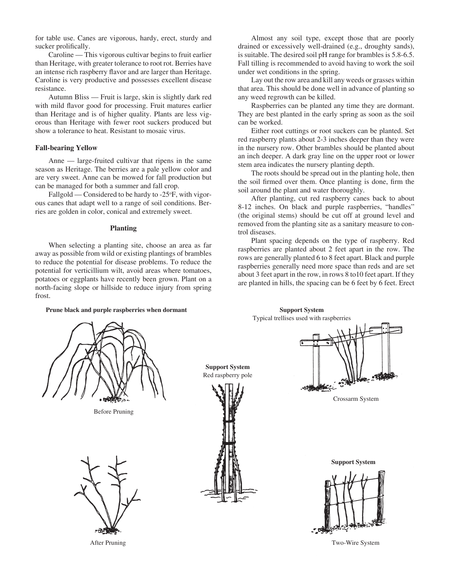for table use. Canes are vigorous, hardy, erect, sturdy and sucker prolifically.

Caroline — This vigorous cultivar begins to fruit earlier than Heritage, with greater tolerance to root rot. Berries have an intense rich raspberry flavor and are larger than Heritage. Caroline is very productive and possesses excellent disease resistance.

Autumn Bliss — Fruit is large, skin is slightly dark red with mild flavor good for processing. Fruit matures earlier than Heritage and is of higher quality. Plants are less vigorous than Heritage with fewer root suckers produced but show a tolerance to heat. Resistant to mosaic virus.

#### **Fall-bearing Yellow**

Anne — large-fruited cultivar that ripens in the same season as Heritage. The berries are a pale yellow color and are very sweet. Anne can be mowed for fall production but can be managed for both a summer and fall crop.

Fallgold — Considered to be hardy to -25°F, with vigorous canes that adapt well to a range of soil conditions. Berries are golden in color, conical and extremely sweet.

#### **Planting**

When selecting a planting site, choose an area as far away as possible from wild or existing plantings of brambles to reduce the potential for disease problems. To reduce the potential for verticillium wilt, avoid areas where tomatoes, potatoes or eggplants have recently been grown. Plant on a north-facing slope or hillside to reduce injury from spring frost.

**Prune black and purple raspberries when dormant**

Almost any soil type, except those that are poorly drained or excessively well-drained (e.g., droughty sands), is suitable. The desired soil pH range for brambles is 5.8-6.5. Fall tilling is recommended to avoid having to work the soil under wet conditions in the spring.

Lay out the row area and kill any weeds or grasses within that area. This should be done well in advance of planting so any weed regrowth can be killed.

Raspberries can be planted any time they are dormant. They are best planted in the early spring as soon as the soil can be worked.

Either root cuttings or root suckers can be planted. Set red raspberry plants about 2-3 inches deeper than they were in the nursery row. Other brambles should be planted about an inch deeper. A dark gray line on the upper root or lower stem area indicates the nursery planting depth.

The roots should be spread out in the planting hole, then the soil firmed over them. Once planting is done, firm the soil around the plant and water thoroughly.

After planting, cut red raspberry canes back to about 8-12 inches. On black and purple raspberries, "handles" (the original stems) should be cut off at ground level and removed from the planting site as a sanitary measure to control diseases.

Plant spacing depends on the type of raspberry. Red raspberries are planted about 2 feet apart in the row. The rows are generally planted 6 to 8 feet apart. Black and purple raspberries generally need more space than reds and are set about 3 feet apart in the row, in rows 8 to10 feet apart. If they are planted in hills, the spacing can be 6 feet by 6 feet. Erect

Before Pruning





**Support System**

**Support System** Typical trellises used with raspberries



Crossarm System

**Support System**



After Pruning Two-Wire System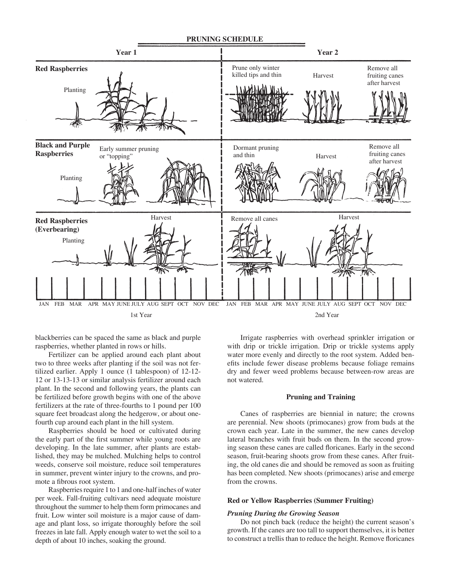

blackberries can be spaced the same as black and purple raspberries, whether planted in rows or hills.

Fertilizer can be applied around each plant about two to three weeks after planting if the soil was not fertilized earlier. Apply 1 ounce (1 tablespoon) of 12-12- 12 or 13-13-13 or similar analysis fertilizer around each plant. In the second and following years, the plants can be fertilized before growth begins with one of the above fertilizers at the rate of three-fourths to 1 pound per 100 square feet broadcast along the hedgerow, or about onefourth cup around each plant in the hill system.

Raspberries should be hoed or cultivated during the early part of the first summer while young roots are developing. In the late summer, after plants are established, they may be mulched. Mulching helps to control weeds, conserve soil moisture, reduce soil temperatures in summer, prevent winter injury to the crowns, and promote a fibrous root system.

Raspberries require 1 to 1 and one-half inches of water per week. Fall-fruiting cultivars need adequate moisture throughout the summer to help them form primocanes and fruit. Low winter soil moisture is a major cause of damage and plant loss, so irrigate thoroughly before the soil freezes in late fall. Apply enough water to wet the soil to a depth of about 10 inches, soaking the ground.

Irrigate raspberries with overhead sprinkler irrigation or with drip or trickle irrigation. Drip or trickle systems apply water more evenly and directly to the root system. Added benefits include fewer disease problems because foliage remains dry and fewer weed problems because between-row areas are not watered.

#### **Pruning and Training**

Canes of raspberries are biennial in nature; the crowns are perennial. New shoots (primocanes) grow from buds at the crown each year. Late in the summer, the new canes develop lateral branches with fruit buds on them. In the second growing season these canes are called floricanes. Early in the second season, fruit-bearing shoots grow from these canes. After fruiting, the old canes die and should be removed as soon as fruiting has been completed. New shoots (primocanes) arise and emerge from the crowns.

#### **Red or Yellow Raspberries (Summer Fruiting)**

#### *Pruning During the Growing Season*

Do not pinch back (reduce the height) the current season's growth. If the canes are too tall to support themselves, it is better to construct a trellis than to reduce the height. Remove floricanes